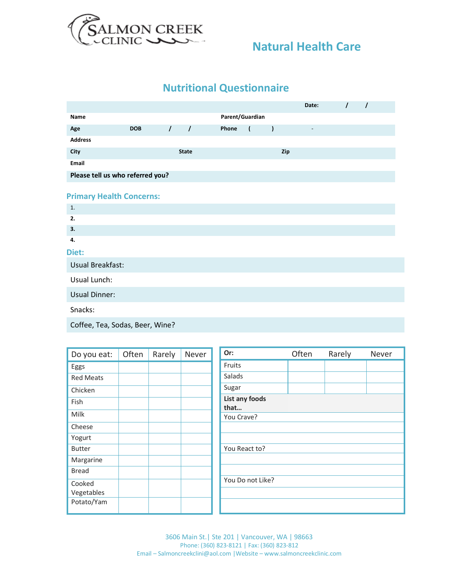

## **Natural Health Care**

# **Nutritional Questionnaire**

|                                  |            |          |              |                 |                |           | Date:                    | $\prime$ | $\prime$ |  |
|----------------------------------|------------|----------|--------------|-----------------|----------------|-----------|--------------------------|----------|----------|--|
| Name                             |            |          |              | Parent/Guardian |                |           |                          |          |          |  |
| Age                              | <b>DOB</b> | $\prime$ | $\prime$     | Phone           | $\overline{ }$ | $\lambda$ | $\overline{\phantom{a}}$ |          |          |  |
| <b>Address</b>                   |            |          |              |                 |                |           |                          |          |          |  |
| City                             |            |          | <b>State</b> |                 |                | Zip       |                          |          |          |  |
| Email                            |            |          |              |                 |                |           |                          |          |          |  |
| Please tell us who referred you? |            |          |              |                 |                |           |                          |          |          |  |
| <b>Primary Health Concerns:</b>  |            |          |              |                 |                |           |                          |          |          |  |
| 1.                               |            |          |              |                 |                |           |                          |          |          |  |
| 2.                               |            |          |              |                 |                |           |                          |          |          |  |
| 3.                               |            |          |              |                 |                |           |                          |          |          |  |
| 4.                               |            |          |              |                 |                |           |                          |          |          |  |
| Diet:                            |            |          |              |                 |                |           |                          |          |          |  |
| Usual Breakfast:                 |            |          |              |                 |                |           |                          |          |          |  |
| Usual Lunch:                     |            |          |              |                 |                |           |                          |          |          |  |
| <b>Usual Dinner:</b>             |            |          |              |                 |                |           |                          |          |          |  |
| Snacks:                          |            |          |              |                 |                |           |                          |          |          |  |

Coffee, Tea, Sodas, Beer, Wine?

| Do you eat:                        | Often | Rarely | Never | Or:                    | Often | Rarely |
|------------------------------------|-------|--------|-------|------------------------|-------|--------|
| Eggs                               |       |        |       | Fruits                 |       |        |
| <b>Red Meats</b>                   |       |        |       | Salads                 |       |        |
| Chicken                            |       |        |       | Sugar                  |       |        |
| Fish                               |       |        |       | List any foods<br>that |       |        |
| Milk                               |       |        |       | You Crave?             |       |        |
| Cheese                             |       |        |       |                        |       |        |
| Yogurt                             |       |        |       |                        |       |        |
| <b>Butter</b>                      |       |        |       | You React to?          |       |        |
| Margarine                          |       |        |       |                        |       |        |
| <b>Bread</b>                       |       |        |       |                        |       |        |
| Cooked<br>Vegetables<br>Potato/Yam |       |        |       | You Do not Like?       |       |        |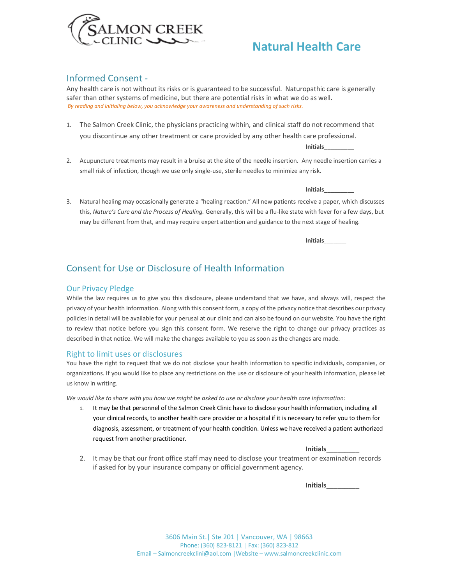

## **Natural Health Care**

### Informed Consent -

Any health care is not without its risks or is guaranteed to be successful. Naturopathic care is generally safer than other systems of medicine, but there are potential risks in what we do as well. *By reading and initialing below, you acknowledge your awareness and understanding of such risks.* 

1. The Salmon Creek Clinic, the physicians practicing within, and clinical staff do not recommend that you discontinue any other treatment or care provided by any other health care professional.

**Initials**\_\_\_\_\_\_\_\_\_

2. Acupuncture treatments may result in a bruise at the site of the needle insertion. Any needle insertion carries a small risk of infection, though we use only single-use, sterile needles to minimize any risk.

#### **Initials**\_\_\_\_\_\_\_\_\_

3. Natural healing may occasionally generate a "healing reaction." All new patients receive a paper, which discusses this, *Nature's Cure and the Process of Healing.* Generally, this will be a flu-like state with fever for a few days, but may be different from that, and may require expert attention and guidance to the next stage of healing.

**Initials**\_\_\_\_\_\_\_\_\_

## Consent for Use or Disclosure of Health Information

#### Our Privacy Pledge

While the law requires us to give you this disclosure, please understand that we have, and always will, respect the privacy of your health information. Along with this consent form, a copy of the privacy notice that describes our privacy policies in detail will be available for your perusal at our clinic and can also be found on our website. You have the right to review that notice before you sign this consent form. We reserve the right to change our privacy practices as described in that notice. We will make the changes available to you as soon as the changes are made.

#### Right to limit uses or disclosures

You have the right to request that we do not disclose your health information to specific individuals, companies, or organizations. If you would like to place any restrictions on the use or disclosure of your health information, please let us know in writing.

*We would like to share with you how we might be asked to use or disclose your health care information:*

1. It may be that personnel of the Salmon Creek Clinic have to disclose your health information, including all your clinical records, to another health care provider or a hospital if it is necessary to refer you to them for diagnosis, assessment, or treatment of your health condition. Unless we have received a patient authorized request from another practitioner.

**Initials**\_\_\_\_\_\_\_\_\_

2. It may be that our front office staff may need to disclose your treatment or examination records if asked for by your insurance company or official government agency.

**Initials**\_\_\_\_\_\_\_\_\_